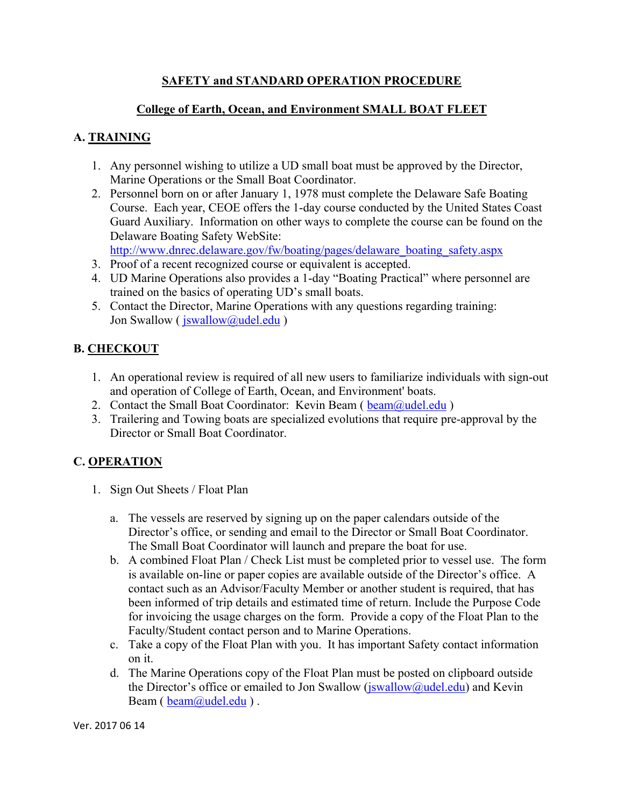## **SAFETY and STANDARD OPERATION PROCEDURE**

### **College of Earth, Ocean, and Environment SMALL BOAT FLEET**

## **A. TRAINING**

- 1. Any personnel wishing to utilize a UD small boat must be approved by the Director, Marine Operations or the Small Boat Coordinator.
- 2. Personnel born on or after January 1, 1978 must complete the Delaware Safe Boating Course. Each year, CEOE offers the 1-day course conducted by the United States Coast Guard Auxiliary. Information on other ways to complete the course can be found on the Delaware Boating Safety WebSite:

http://www.dnrec.delaware.gov/fw/boating/pages/delaware\_boating\_safety.aspx

- 3. Proof of a recent recognized course or equivalent is accepted.
- 4. UD Marine Operations also provides a 1-day "Boating Practical" where personnel are trained on the basics of operating UD's small boats.
- 5. Contact the Director, Marine Operations with any questions regarding training: Jon Swallow (  $jswallow@u$ del.edu )

## **B. CHECKOUT**

- 1. An operational review is required of all new users to familiarize individuals with sign-out and operation of College of Earth, Ocean, and Environment' boats.
- 2. Contact the Small Boat Coordinator: Kevin Beam ( $\frac{beam(Qudel.edu)}{c}$ )
- 3. Trailering and Towing boats are specialized evolutions that require pre-approval by the Director or Small Boat Coordinator.

## **C. OPERATION**

- 1. Sign Out Sheets / Float Plan
	- a. The vessels are reserved by signing up on the paper calendars outside of the Director's office, or sending and email to the Director or Small Boat Coordinator. The Small Boat Coordinator will launch and prepare the boat for use.
	- b. A combined Float Plan / Check List must be completed prior to vessel use. The form is available on-line or paper copies are available outside of the Director's office. A contact such as an Advisor/Faculty Member or another student is required, that has been informed of trip details and estimated time of return. Include the Purpose Code for invoicing the usage charges on the form. Provide a copy of the Float Plan to the Faculty/Student contact person and to Marine Operations.
	- c. Take a copy of the Float Plan with you. It has important Safety contact information on it.
	- d. The Marine Operations copy of the Float Plan must be posted on clipboard outside the Director's office or emailed to Jon Swallow  $(i$ swallow  $(i)$ udel.edu) and Kevin Beam ( $beam@u$ del.edu).